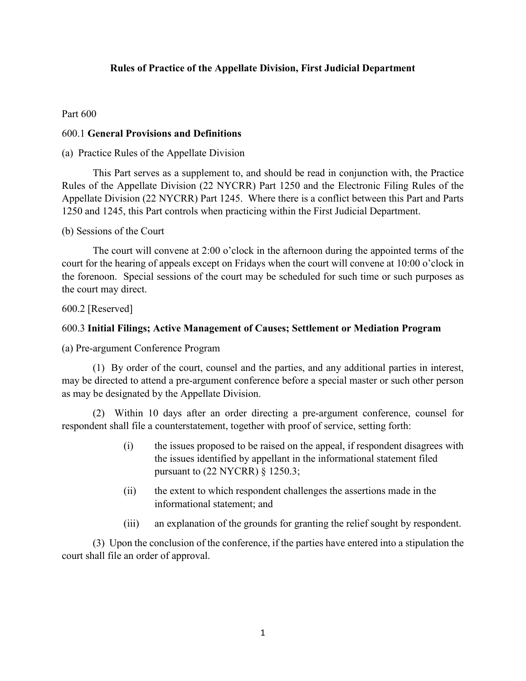## **Rules of Practice of the Appellate Division, First Judicial Department**

#### Part 600

#### 600.1 **General Provisions and Definitions**

#### (a) Practice Rules of the Appellate Division

This Part serves as a supplement to, and should be read in conjunction with, the Practice Rules of the Appellate Division (22 NYCRR) Part 1250 and the Electronic Filing Rules of the Appellate Division (22 NYCRR) Part 1245. Where there is a conflict between this Part and Parts 1250 and 1245, this Part controls when practicing within the First Judicial Department.

(b) Sessions of the Court

The court will convene at 2:00 o'clock in the afternoon during the appointed terms of the court for the hearing of appeals except on Fridays when the court will convene at 10:00 o'clock in the forenoon. Special sessions of the court may be scheduled for such time or such purposes as the court may direct.

600.2 [Reserved]

## 600.3 **Initial Filings; Active Management of Causes; Settlement or Mediation Program**

(a) Pre-argument Conference Program

(1) By order of the court, counsel and the parties, and any additional parties in interest, may be directed to attend a pre-argument conference before a special master or such other person as may be designated by the Appellate Division.

(2) Within 10 days after an order directing a pre-argument conference, counsel for respondent shall file a counterstatement, together with proof of service, setting forth:

- (i) the issues proposed to be raised on the appeal, if respondent disagrees with the issues identified by appellant in the informational statement filed pursuant to (22 NYCRR) § 1250.3;
- (ii) the extent to which respondent challenges the assertions made in the informational statement; and
- (iii) an explanation of the grounds for granting the relief sought by respondent.

(3) Upon the conclusion of the conference, if the parties have entered into a stipulation the court shall file an order of approval.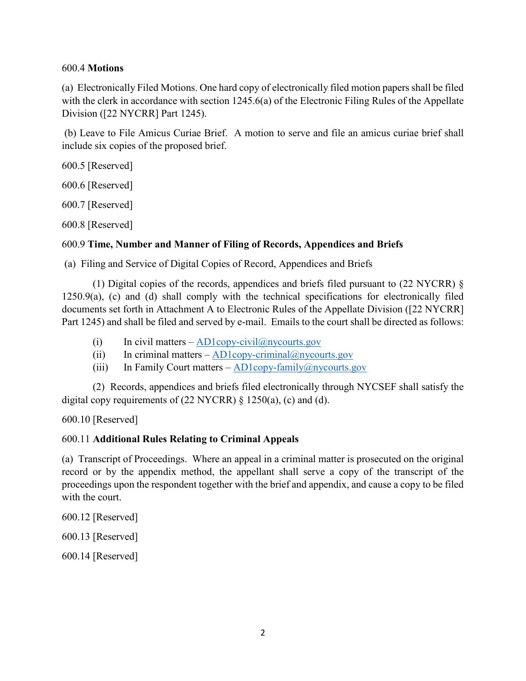#### 600.4 **Motions**

(a) Electronically Filed Motions. One hard copy of electronically filed motion papers shall be filed with the clerk in accordance with section 1245.6(a) of the Electronic Filing Rules of the Appellate Division ([22 NYCRR] Part 1245).

(b) Leave to File Amicus Curiae Brief. A motion to serve and file an amicus curiae brief shall include six copies of the proposed brief.

600.5 [Reserved]

600.6 [Reserved]

600.7 [Reserved]

600.8 [Reserved]

## 600.9 **Time, Number and Manner of Filing of Records, Appendices and Briefs**

(a) Filing and Service of Digital Copies of Record, Appendices and Briefs

(1) Digital copies of the records, appendices and briefs filed pursuant to (22 NYCRR) § 1250.9(a), (c) and (d) shall comply with the technical specifications for electronically filed documents set forth in Attachment A to Electronic Rules of the Appellate Division ([22 NYCRR] Part 1245) and shall be filed and served by e-mail. Emails to the court shall be directed as follows:

- (i) In civil matters AD1copy-civil $\omega$ nycourts.gov
- (ii) In criminal matters  $AD1$ copy-criminal@nycourts.gov
- (iii) In Family Court matters AD1copy-family@nycourts.gov

(2) Records, appendices and briefs filed electronically through NYCSEF shall satisfy the digital copy requirements of (22 NYCRR)  $\S$  1250(a), (c) and (d).

600.10 [Reserved]

## 600.11 **Additional Rules Relating to Criminal Appeals**

(a) Transcript of Proceedings. Where an appeal in a criminal matter is prosecuted on the original record or by the appendix method, the appellant shall serve a copy of the transcript of the proceedings upon the respondent together with the brief and appendix, and cause a copy to be filed with the court.

600.12 [Reserved]

600.13 [Reserved]

600.14 [Reserved]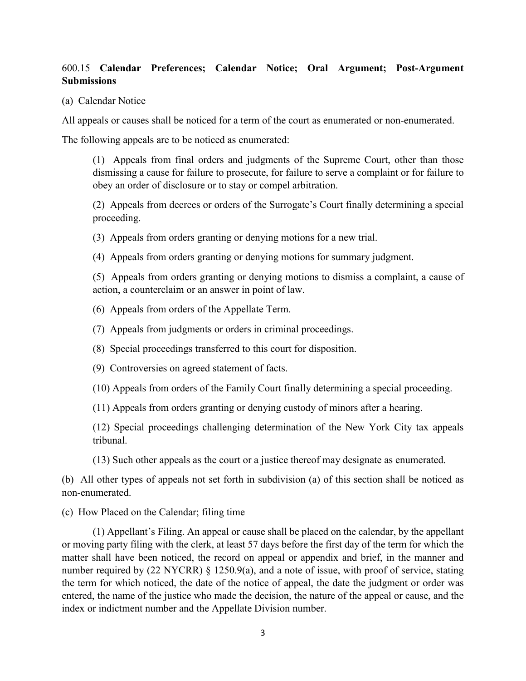# 600.15 **Calendar Preferences; Calendar Notice; Oral Argument; Post-Argument Submissions**

(a) Calendar Notice

All appeals or causes shall be noticed for a term of the court as enumerated or non-enumerated.

The following appeals are to be noticed as enumerated:

(1) Appeals from final orders and judgments of the Supreme Court, other than those dismissing a cause for failure to prosecute, for failure to serve a complaint or for failure to obey an order of disclosure or to stay or compel arbitration.

(2) Appeals from decrees or orders of the Surrogate's Court finally determining a special proceeding.

- (3) Appeals from orders granting or denying motions for a new trial.
- (4) Appeals from orders granting or denying motions for summary judgment.

(5) Appeals from orders granting or denying motions to dismiss a complaint, a cause of action, a counterclaim or an answer in point of law.

- (6) Appeals from orders of the Appellate Term.
- (7) Appeals from judgments or orders in criminal proceedings.
- (8) Special proceedings transferred to this court for disposition.
- (9) Controversies on agreed statement of facts.
- (10) Appeals from orders of the Family Court finally determining a special proceeding.
- (11) Appeals from orders granting or denying custody of minors after a hearing.

(12) Special proceedings challenging determination of the New York City tax appeals tribunal.

(13) Such other appeals as the court or a justice thereof may designate as enumerated.

(b) All other types of appeals not set forth in subdivision (a) of this section shall be noticed as non-enumerated.

(c) How Placed on the Calendar; filing time

(1) Appellant's Filing. An appeal or cause shall be placed on the calendar, by the appellant or moving party filing with the clerk, at least 57 days before the first day of the term for which the matter shall have been noticed, the record on appeal or appendix and brief, in the manner and number required by (22 NYCRR) § 1250.9(a), and a note of issue, with proof of service, stating the term for which noticed, the date of the notice of appeal, the date the judgment or order was entered, the name of the justice who made the decision, the nature of the appeal or cause, and the index or indictment number and the Appellate Division number.